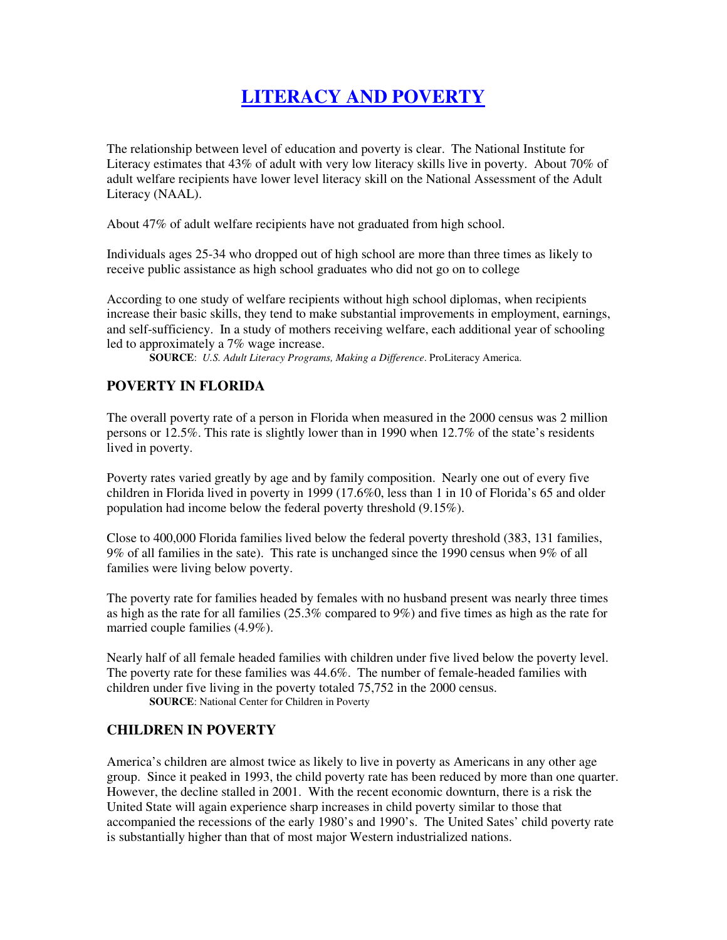## **LITERACY AND POVERTY**

The relationship between level of education and poverty is clear. The National Institute for Literacy estimates that 43% of adult with very low literacy skills live in poverty. About 70% of adult welfare recipients have lower level literacy skill on the National Assessment of the Adult Literacy (NAAL).

About 47% of adult welfare recipients have not graduated from high school.

Individuals ages 25-34 who dropped out of high school are more than three times as likely to receive public assistance as high school graduates who did not go on to college

According to one study of welfare recipients without high school diplomas, when recipients increase their basic skills, they tend to make substantial improvements in employment, earnings, and self-sufficiency. In a study of mothers receiving welfare, each additional year of schooling led to approximately a 7% wage increase.

**SOURCE**: *U.S. Adult Literacy Programs, Making a Difference*. ProLiteracy America.

## **POVERTY IN FLORIDA**

The overall poverty rate of a person in Florida when measured in the 2000 census was 2 million persons or 12.5%. This rate is slightly lower than in 1990 when 12.7% of the state's residents lived in poverty.

Poverty rates varied greatly by age and by family composition. Nearly one out of every five children in Florida lived in poverty in 1999 (17.6%0, less than 1 in 10 of Florida's 65 and older population had income below the federal poverty threshold (9.15%).

Close to 400,000 Florida families lived below the federal poverty threshold (383, 131 families, 9% of all families in the sate). This rate is unchanged since the 1990 census when 9% of all families were living below poverty.

The poverty rate for families headed by females with no husband present was nearly three times as high as the rate for all families (25.3% compared to 9%) and five times as high as the rate for married couple families (4.9%).

Nearly half of all female headed families with children under five lived below the poverty level. The poverty rate for these families was 44.6%. The number of female-headed families with children under five living in the poverty totaled 75,752 in the 2000 census.

**SOURCE**: National Center for Children in Poverty

## **CHILDREN IN POVERTY**

America's children are almost twice as likely to live in poverty as Americans in any other age group. Since it peaked in 1993, the child poverty rate has been reduced by more than one quarter. However, the decline stalled in 2001. With the recent economic downturn, there is a risk the United State will again experience sharp increases in child poverty similar to those that accompanied the recessions of the early 1980's and 1990's. The United Sates' child poverty rate is substantially higher than that of most major Western industrialized nations.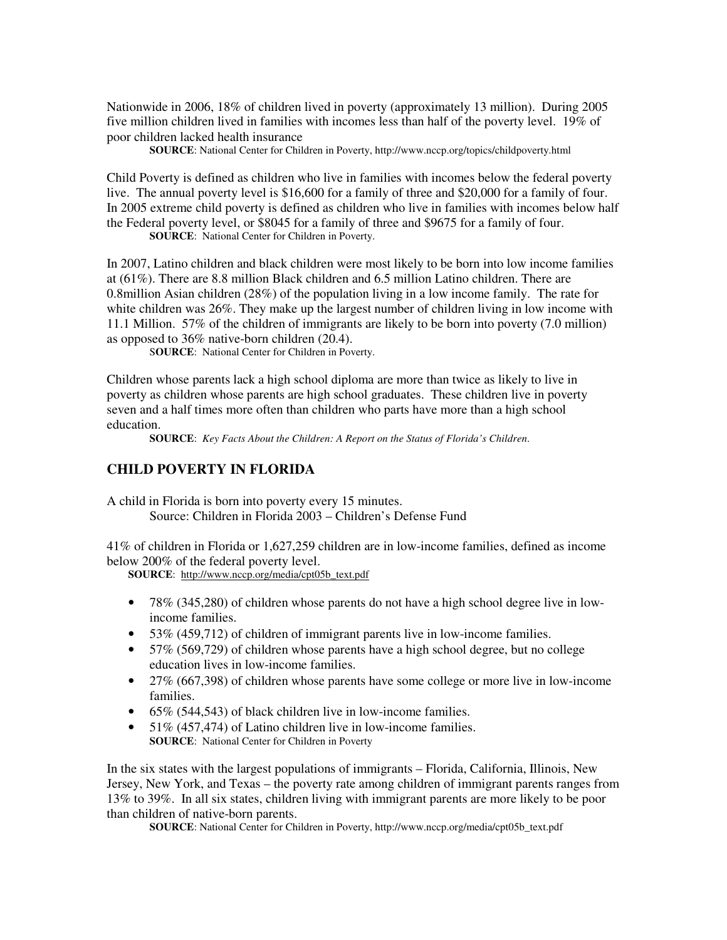Nationwide in 2006, 18% of children lived in poverty (approximately 13 million). During 2005 five million children lived in families with incomes less than half of the poverty level. 19% of poor children lacked health insurance

**SOURCE**: National Center for Children in Poverty, http://www.nccp.org/topics/childpoverty.html

Child Poverty is defined as children who live in families with incomes below the federal poverty live. The annual poverty level is \$16,600 for a family of three and \$20,000 for a family of four. In 2005 extreme child poverty is defined as children who live in families with incomes below half the Federal poverty level, or \$8045 for a family of three and \$9675 for a family of four.

**SOURCE**: National Center for Children in Poverty.

In 2007, Latino children and black children were most likely to be born into low income families at (61%). There are 8.8 million Black children and 6.5 million Latino children. There are 0.8million Asian children (28%) of the population living in a low income family. The rate for white children was 26%. They make up the largest number of children living in low income with 11.1 Million. 57% of the children of immigrants are likely to be born into poverty (7.0 million) as opposed to 36% native-born children (20.4).

S**OURCE**: National Center for Children in Poverty.

Children whose parents lack a high school diploma are more than twice as likely to live in poverty as children whose parents are high school graduates. These children live in poverty seven and a half times more often than children who parts have more than a high school education.

**SOURCE**: *Key Facts About the Children: A Report on the Status of Florida's Children*.

## **CHILD POVERTY IN FLORIDA**

A child in Florida is born into poverty every 15 minutes. Source: Children in Florida 2003 – Children's Defense Fund

41% of children in Florida or 1,627,259 children are in low-income families, defined as income below 200% of the federal poverty level.

**SOURCE**: http://www.nccp.org/media/cpt05b\_text.pdf

- 78% (345,280) of children whose parents do not have a high school degree live in lowincome families.
- 53% (459,712) of children of immigrant parents live in low-income families.
- 57% (569,729) of children whose parents have a high school degree, but no college education lives in low-income families.
- 27% (667,398) of children whose parents have some college or more live in low-income families.
- 65% (544,543) of black children live in low-income families.
- 51\% (457,474) of Latino children live in low-income families. **SOURCE**: National Center for Children in Poverty

In the six states with the largest populations of immigrants – Florida, California, Illinois, New Jersey, New York, and Texas – the poverty rate among children of immigrant parents ranges from 13% to 39%. In all six states, children living with immigrant parents are more likely to be poor than children of native-born parents.

**SOURCE**: National Center for Children in Poverty, http://www.nccp.org/media/cpt05b\_text.pdf